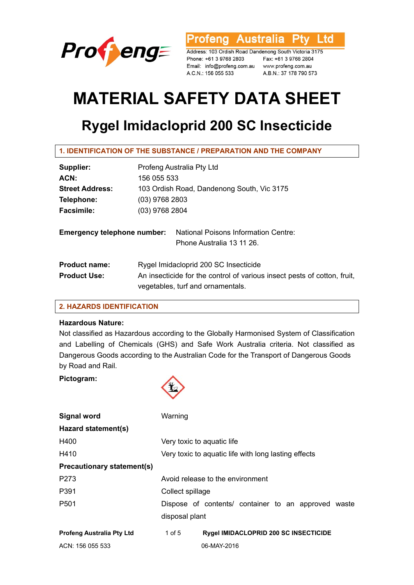

**Ptv** rofeng Australia Ltd

Address: 103 Ordish Road Dandenong South Victoria 3175 Phone: +61 3 9768 2803 Email: info@profeng.com.au www.profeng.com.au A.C.N.: 156 055 533

Fax: +61 3 9768 2804 A.B.N.: 37 178 790 573

# **MATERIAL SAFETY DATA SHEET**

# **Rygel Imidacloprid 200 SC Insecticide**

| Supplier:                          | Profeng Australia Pty Ltd                                                                                     |  |  |
|------------------------------------|---------------------------------------------------------------------------------------------------------------|--|--|
| ACN:                               | 156 055 533                                                                                                   |  |  |
| <b>Street Address:</b>             | 103 Ordish Road, Dandenong South, Vic 3175                                                                    |  |  |
| Telephone:                         | $(03)$ 9768 2803                                                                                              |  |  |
| <b>Facsimile:</b>                  | $(03)$ 9768 2804                                                                                              |  |  |
| <b>Emergency telephone number:</b> | National Poisons Information Centre:<br>Phone Australia 13 11 26.                                             |  |  |
| <b>Product name:</b>               | Rygel Imidacloprid 200 SC Insecticide                                                                         |  |  |
| <b>Product Use:</b>                | An insecticide for the control of various insect pests of cotton, fruit,<br>vegetables, turf and ornamentals. |  |  |

# **2. HAZARDS IDENTIFICATION**

# **Hazardous Nature:**

Not classified as Hazardous according to the Globally Harmonised System of Classification and Labelling of Chemicals (GHS) and Safe Work Australia criteria. Not classified as Dangerous Goods according to the Australian Code for the Transport of Dangerous Goods by Road and Rail.

# **Pictogram:**



| <b>Signal word</b>                | Warning                    |                                                      |
|-----------------------------------|----------------------------|------------------------------------------------------|
| Hazard statement(s)               |                            |                                                      |
| H400                              | Very toxic to aquatic life |                                                      |
| H410                              |                            | Very toxic to aquatic life with long lasting effects |
| <b>Precautionary statement(s)</b> |                            |                                                      |
| P273                              |                            | Avoid release to the environment                     |
| P391                              | Collect spillage           |                                                      |
| P <sub>501</sub>                  |                            | Dispose of contents/ container to an approved waste  |
|                                   | disposal plant             |                                                      |
| <b>Profeng Australia Pty Ltd</b>  | 1 of $5$                   | <b>Rygel IMIDACLOPRID 200 SC INSECTICIDE</b>         |
| ACN: 156 055 533                  |                            | 06-MAY-2016                                          |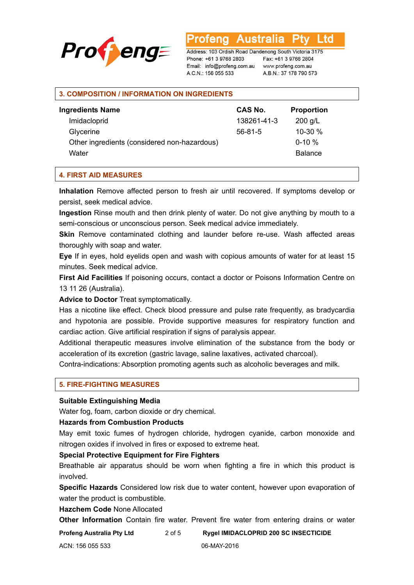

Australia L td otena

Address: 103 Ordish Road Dandenong South Victoria 3175 Phone: +61 3 9768 2803 Email: info@profeng.com.au A.C.N.: 156 055 533

Fax: +61 3 9768 2804 www.profeng.com.au A.B.N.: 37 178 790 573

#### **3. COMPOSITION / INFORMATION ON INGREDIENTS**

| <b>Ingredients Name</b>                      | <b>CAS No.</b> | <b>Proportion</b> |  |
|----------------------------------------------|----------------|-------------------|--|
| Imidacloprid                                 | 138261-41-3    | $200$ g/L         |  |
| Glycerine                                    | $56-81-5$      | 10-30 %           |  |
| Other ingredients (considered non-hazardous) |                | $0-10 \%$         |  |
| Water                                        |                | <b>Balance</b>    |  |

#### **4. FIRST AID MEASURES**

**Inhalation** Remove affected person to fresh air until recovered. If symptoms develop or persist, seek medical advice.

**Ingestion** Rinse mouth and then drink plenty of water. Do not give anything by mouth to a semi-conscious or unconscious person. Seek medical advice immediately.

**Skin** Remove contaminated clothing and launder before re-use. Wash affected areas thoroughly with soap and water.

**Eye** If in eyes, hold eyelids open and wash with copious amounts of water for at least 15 minutes. Seek medical advice.

**First Aid Facilities** If poisoning occurs, contact a doctor or Poisons Information Centre on 13 11 26 (Australia).

**Advice to Doctor** Treat symptomatically.

Has a nicotine like effect. Check blood pressure and pulse rate frequently, as bradycardia and hypotonia are possible. Provide supportive measures for respiratory function and cardiac action. Give artificial respiration if signs of paralysis appear.

Additional therapeutic measures involve elimination of the substance from the body or acceleration of its excretion (gastric lavage, saline laxatives, activated charcoal).

Contra-indications: Absorption promoting agents such as alcoholic beverages and milk.

#### **5. FIRE-FIGHTING MEASURES**

#### **Suitable Extinguishing Media**

Water fog, foam, carbon dioxide or dry chemical.

#### **Hazards from Combustion Products**

May emit toxic fumes of hydrogen chloride, hydrogen cyanide, carbon monoxide and nitrogen oxides if involved in fires or exposed to extreme heat.

#### **Special Protective Equipment for Fire Fighters**

Breathable air apparatus should be worn when fighting a fire in which this product is involved.

**Specific Hazards** Considered low risk due to water content, however upon evaporation of water the product is combustible.

**Hazchem Code** None Allocated

**Other Information** Contain fire water. Prevent fire water from entering drains or water

**Profeng Australia Pty Ltd** 2 of 5 **Rygel IMIDACLOPRID 200 SC INSECTICIDE**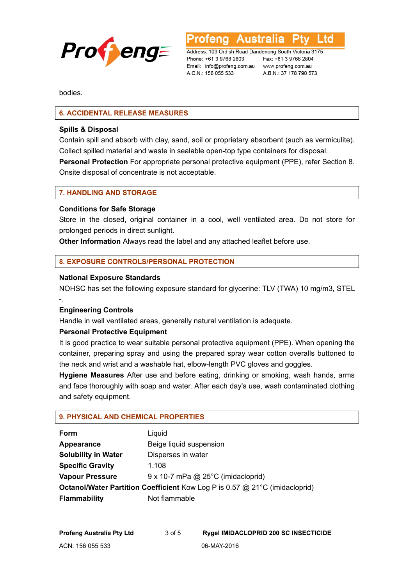

**Australia** L to

Address: 103 Ordish Road Dandenong South Victoria 3175 Phone: +61 3 9768 2803 Email: info@profeng.com.au www.profeng.com.au A.C.N.: 156 055 533

Fax: +61 3 9768 2804 A.B.N.: 37 178 790 573

bodies.

# **6. ACCIDENTAL RELEASE MEASURES**

#### **Spills & Disposal**

Contain spill and absorb with clay, sand, soil or proprietary absorbent (such as vermiculite). Collect spilled material and waste in sealable open-top type containers for disposal.

**Personal Protection** For appropriate personal protective equipment (PPE), refer Section 8. Onsite disposal of concentrate is not acceptable.

#### **7. HANDLING AND STORAGE**

#### **Conditions for Safe Storage**

Store in the closed, original container in a cool, well ventilated area. Do not store for prolonged periods in direct sunlight.

**Other Information** Always read the label and any attached leaflet before use.

# **8. EXPOSURE CONTROLS/PERSONAL PROTECTION**

#### **National Exposure Standards**

NOHSC has set the following exposure standard for glycerine: TLV (TWA) 10 mg/m3, STEL -.

#### **Engineering Controls**

Handle in well ventilated areas, generally natural ventilation is adequate.

# **Personal Protective Equipment**

It is good practice to wear suitable personal protective equipment (PPE). When opening the container, preparing spray and using the prepared spray wear cotton overalls buttoned to the neck and wrist and a washable hat, elbow-length PVC gloves and goggles.

**Hygiene Measures** After use and before eating, drinking or smoking, wash hands, arms and face thoroughly with soap and water. After each day's use, wash contaminated clothing and safety equipment.

#### **9. PHYSICAL AND CHEMICAL PROPERTIES**

| Form                                                                               | Liquid                                     |  |
|------------------------------------------------------------------------------------|--------------------------------------------|--|
| Appearance                                                                         | Beige liquid suspension                    |  |
| <b>Solubility in Water</b>                                                         | Disperses in water                         |  |
| <b>Specific Gravity</b>                                                            | 1.108                                      |  |
| <b>Vapour Pressure</b>                                                             | $9 \times 10$ -7 mPa @ 25°C (imidacloprid) |  |
| <b>Octanol/Water Partition Coefficient Kow Log P is 0.57 @ 21°C (imidacloprid)</b> |                                            |  |
| <b>Flammability</b>                                                                | Not flammable                              |  |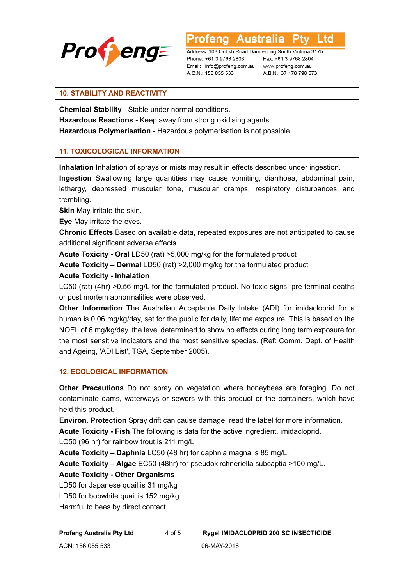

Australia L td

Address: 103 Ordish Road Dandenong South Victoria 3175 Phone: +61 3 9768 2803 Email: info@profeng.com.au A.C.N.: 156 055 533

Fax: +61 3 9768 2804 www.profeng.com.au A.B.N.: 37 178 790 573

# **10. STABILITY AND REACTIVITY**

**Chemical Stability** - Stable under normal conditions.

**Hazardous Reactions -** Keep away from strong oxidising agents.

**Hazardous Polymerisation -** Hazardous polymerisation is not possible.

# **11. TOXICOLOGICAL INFORMATION**

**Inhalation** Inhalation of sprays or mists may result in effects described under ingestion.

**Ingestion** Swallowing large quantities may cause vomiting, diarrhoea, abdominal pain, lethargy, depressed muscular tone, muscular cramps, respiratory disturbances and trembling.

**Skin** May irritate the skin.

**Eye** May irritate the eyes.

**Chronic Effects** Based on available data, repeated exposures are not anticipated to cause additional significant adverse effects.

**Acute Toxicity - Oral** LD50 (rat) >5,000 mg/kg for the formulated product

**Acute Toxicity – Dermal** LD50 (rat) >2,000 mg/kg for the formulated product

# **Acute Toxicity - Inhalation**

LC50 (rat) (4hr) >0.56 mg/L for the formulated product. No toxic signs, pre-terminal deaths or post mortem abnormalities were observed.

**Other Information** The Australian Acceptable Daily Intake (ADI) for imidacloprid for a human is 0.06 mg/kg/day, set for the public for daily, lifetime exposure. This is based on the NOEL of 6 mg/kg/day, the level determined to show no effects during long term exposure for the most sensitive indicators and the most sensitive species. (Ref: Comm. Dept. of Health and Ageing, 'ADI List', TGA, September 2005).

# **12. ECOLOGICAL INFORMATION**

**Other Precautions** Do not spray on vegetation where honeybees are foraging. Do not contaminate dams, waterways or sewers with this product or the containers, which have held this product.

**Environ. Protection** Spray drift can cause damage, read the label for more information.

**Acute Toxicity - Fish** The following is data for the active ingredient, imidacloprid. LC50 (96 hr) for rainbow trout is 211 mg/L.

**Acute Toxicity – Daphnia** LC50 (48 hr) for daphnia magna is 85 mg/L.

**Acute Toxicity – Algae** EC50 (48hr) for pseudokirchneriella subcaptia >100 mg/L.

# **Acute Toxicity - Other Organisms**

LD50 for Japanese quail is 31 mg/kg

LD50 for bobwhite quail is 152 mg/kg

Harmful to bees by direct contact.

**Profeng Australia Pty Ltd** 4 of 5 **Rygel IMIDACLOPRID 200 SC INSECTICIDE**